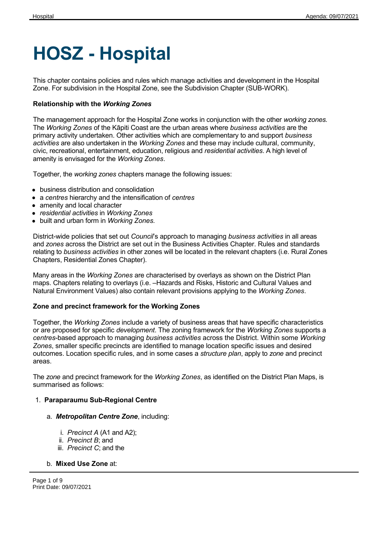# **HOSZ - Hospital**

This chapter contains policies and rules which manage activities and development in the Hospital Zone. For subdivision in the Hospital Zone, see the Subdivision Chapter (SUB-WORK).

## **Relationship with the** *Working Zones*

The management approach for the Hospital Zone works in conjunction with the other *working zones.* The *Working Zones* of the Kāpiti Coast are the urban areas where *business activities* are the primary activity undertaken. Other activities which are complementary to and support *business activities* are also undertaken in the *Working Zones* and these may include cultural, community, civic, recreational, entertainment, education, religious and *residential activities*. A high level of amenity is envisaged for the *Working Zones*.

Together, the *working zones* chapters manage the following issues:

- business distribution and consolidation
- a *centres* hierarchy and the intensification of *centres*
- amenity and local character
- *residential activities* in *Working Zones*
- built and urban form in *Working Zones.*

District-wide policies that set out *Council*'s approach to managing *business activities* in all areas and *zones* across the District are set out in the Business Activities Chapter. Rules and standards relating to *business activities* in other zones will be located in the relevant chapters (i.e. Rural Zones Chapters, Residential Zones Chapter).

Many areas in the *Working Zones* are characterised by overlays as shown on the District Plan maps. Chapters relating to overlays (i.e. –Hazards and Risks, Historic and Cultural Values and Natural Environment Values) also contain relevant provisions applying to the *Working Zones*.

## **Zone and precinct framework for the Working Zones**

Together, the *Working Zones* include a variety of business areas that have specific characteristics or are proposed for specific *development*. The zoning framework for the *Working Zones* supports a *centres*-based approach to managing *business activities* across the District. Within some *Working Zones*, smaller specific precincts are identified to manage location specific issues and desired outcomes. Location specific rules, and in some cases a *structure plan*, apply to *zone* and precinct areas.

The *zone* and precinct framework for the *Working Zones*, as identified on the District Plan Maps, is summarised as follows:

## 1. **Paraparaumu Sub-Regional Centre**

#### a. *Metropolitan Centre Zone*, including:

- i. *Precinct A* (A1 and A2);
- ii. *Precinct B*; and
- iii. *Precinct C*; and the

## b. **Mixed Use Zone** at:

Page 1 of 9 Print Date: 09/07/2021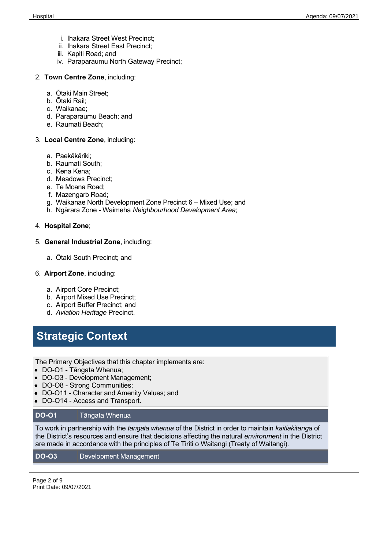- i. Ihakara Street West Precinct;
- ii. Ihakara Street East Precinct;
- iii. Kapiti Road; and
- iv. Paraparaumu North Gateway Precinct;
- 2. **Town Centre Zone**, including:
	- a. Ōtaki Main Street;
	- b. Ōtaki Rail;
	- c. Waikanae;
	- d. Paraparaumu Beach; and
	- e. Raumati Beach;
- 3. **Local Centre Zone**, including:
	- a. Paekākāriki;
	- b. Raumati South;
	- c. Kena Kena;
	- d. Meadows Precinct;
	- e. Te Moana Road;
	- f. Mazengarb Road;
	- g. Waikanae North Development Zone Precinct 6 Mixed Use; and
	- h. Ngārara Zone Waimeha *Neighbourhood Development Area*;
- 4. **Hospital Zone**;
- 5. **General Industrial Zone**, including:
	- a. Ōtaki South Precinct; and
- 6. **Airport Zone**, including:
	- a. Airport Core Precinct;
	- b. Airport Mixed Use Precinct;
	- c. Airport Buffer Precinct; and
	- d. *Aviation Heritage* Precinct.

**Strategic Context**

The Primary Objectives that this chapter implements are:

- DO-O1 Tāngata Whenua;
- DO-O3 Development Management;
- DO-O8 Strong Communities;
- DO-O11 Character and Amenity Values; and
- DO-O14 Access and Transport.

#### **DO-O1** Tāngata Whenua

To work in partnership with the *tangata whenua* of the District in order to maintain *kaitiakitanga* of the District's resources and ensure that decisions affecting the natural *environment* in the District are made in accordance with the principles of Te Tiriti o Waitangi (Treaty of Waitangi).

#### **DO-O3** Development Management

Page 2 of 9 Print Date: 09/07/2021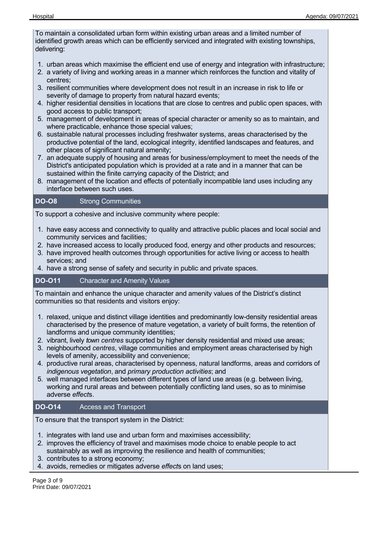To maintain a consolidated urban form within existing urban areas and a limited number of identified growth areas which can be efficiently serviced and integrated with existing townships, delivering:

- 1. urban areas which maximise the efficient end use of energy and integration with infrastructure;
- 2. a variety of living and working areas in a manner which reinforces the function and vitality of centres;
- 3. resilient communities where development does not result in an increase in risk to life or severity of damage to property from natural hazard events;
- 4. higher residential densities in locations that are close to centres and public open spaces, with good access to public transport;
- 5. management of development in areas of special character or amenity so as to maintain, and where practicable, enhance those special values;
- 6. sustainable natural processes including freshwater systems, areas characterised by the productive potential of the land, ecological integrity, identified landscapes and features, and other places of significant natural amenity;
- 7. an adequate supply of housing and areas for business/employment to meet the needs of the District's anticipated population which is provided at a rate and in a manner that can be sustained within the finite carrying capacity of the District; and
- 8. management of the location and effects of potentially incompatible land uses including any interface between such uses.

## **DO-O8** Strong Communities

To support a cohesive and inclusive community where people:

- 1. have easy access and connectivity to quality and attractive public places and local social and community services and facilities;
- 2. have increased access to locally produced food, energy and other products and resources;
- 3. have improved health outcomes through opportunities for active living or access to health services; and
- 4. have a strong sense of safety and security in public and private spaces.

## **DO-O11** Character and Amenity Values

To maintain and enhance the unique character and amenity values of the District's distinct communities so that residents and visitors enjoy:

- 1. relaxed, unique and distinct village identities and predominantly low-density residential areas characterised by the presence of mature vegetation, a variety of built forms, the retention of landforms and unique community identities;
- 2. vibrant, lively *town centres* supported by higher density residential and mixed use areas;
- 3. neighbourhood *centres*, village communities and employment areas characterised by high levels of amenity, accessibility and convenience;
- 4. productive rural areas, characterised by openness, natural landforms, areas and corridors of *indigenous vegetation*, and *primary production activities*; and
- 5. well managed interfaces between different types of land use areas (e.g. between living, working and rural areas and between potentially conflicting land uses, so as to minimise adverse *effect*s.

## **DO-O14** Access and Transport

To ensure that the transport system in the District:

- 1. integrates with land use and urban form and maximises accessibility;
- 2. improves the efficiency of travel and maximises mode choice to enable people to act sustainably as well as improving the resilience and health of communities;
- 3. contributes to a strong economy;
- 4. avoids, remedies or mitigates adverse *effect*s on land uses;

Page 3 of 9 Print Date: 09/07/2021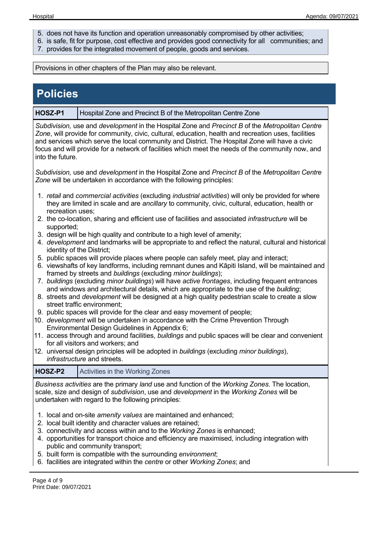- 5. does not have its function and operation unreasonably compromised by other activities;
- 6. is safe, fit for purpose, cost effective and provides good connectivity for all communities; and
- 7. provides for the integrated movement of people, goods and services.

Provisions in other chapters of the Plan may also be relevant.

| <b>Policies</b>                                                                                                                                                                                                                                                                                                                                                                                                                    |                                                                                                                                                                                                                                                                                                         |  |  |  |
|------------------------------------------------------------------------------------------------------------------------------------------------------------------------------------------------------------------------------------------------------------------------------------------------------------------------------------------------------------------------------------------------------------------------------------|---------------------------------------------------------------------------------------------------------------------------------------------------------------------------------------------------------------------------------------------------------------------------------------------------------|--|--|--|
| HOSZ-P1                                                                                                                                                                                                                                                                                                                                                                                                                            | Hospital Zone and Precinct B of the Metropolitan Centre Zone                                                                                                                                                                                                                                            |  |  |  |
| Subdivision, use and development in the Hospital Zone and Precinct B of the Metropolitan Centre<br>Zone, will provide for community, civic, cultural, education, health and recreation uses, facilities<br>and services which serve the local community and District. The Hospital Zone will have a civic<br>focus and will provide for a network of facilities which meet the needs of the community now, and<br>into the future. |                                                                                                                                                                                                                                                                                                         |  |  |  |
|                                                                                                                                                                                                                                                                                                                                                                                                                                    | Subdivision, use and development in the Hospital Zone and Precinct B of the Metropolitan Centre<br>Zone will be undertaken in accordance with the following principles:                                                                                                                                 |  |  |  |
| recreation uses;                                                                                                                                                                                                                                                                                                                                                                                                                   | 1. retail and commercial activities (excluding industrial activities) will only be provided for where<br>they are limited in scale and are ancillary to community, civic, cultural, education, health or                                                                                                |  |  |  |
|                                                                                                                                                                                                                                                                                                                                                                                                                                    | 2. the co-location, sharing and efficient use of facilities and associated <i>infrastructure</i> will be                                                                                                                                                                                                |  |  |  |
|                                                                                                                                                                                                                                                                                                                                                                                                                                    | supported;<br>3. design will be high quality and contribute to a high level of amenity;<br>4. development and landmarks will be appropriate to and reflect the natural, cultural and historical<br>identity of the District;                                                                            |  |  |  |
|                                                                                                                                                                                                                                                                                                                                                                                                                                    | 5. public spaces will provide places where people can safely meet, play and interact;<br>6. viewshafts of key landforms, including remnant dunes and Kāpiti Island, will be maintained and<br>framed by streets and buildings (excluding minor buildings);                                              |  |  |  |
|                                                                                                                                                                                                                                                                                                                                                                                                                                    | 7. buildings (excluding minor buildings) will have active frontages, including frequent entrances<br>and windows and architectural details, which are appropriate to the use of the building;<br>8. streets and <i>development</i> will be designed at a high quality pedestrian scale to create a slow |  |  |  |
|                                                                                                                                                                                                                                                                                                                                                                                                                                    | street traffic environment;<br>9. public spaces will provide for the clear and easy movement of people;<br>10. development will be undertaken in accordance with the Crime Prevention Through                                                                                                           |  |  |  |
|                                                                                                                                                                                                                                                                                                                                                                                                                                    | Environmental Design Guidelines in Appendix 6;<br>11. access through and around facilities, buildings and public spaces will be clear and convenient                                                                                                                                                    |  |  |  |
|                                                                                                                                                                                                                                                                                                                                                                                                                                    | for all visitors and workers; and<br>12. universal design principles will be adopted in buildings (excluding minor buildings),<br>infrastructure and streets.                                                                                                                                           |  |  |  |
| HOSZ-P2                                                                                                                                                                                                                                                                                                                                                                                                                            | Activities in the Working Zones                                                                                                                                                                                                                                                                         |  |  |  |
|                                                                                                                                                                                                                                                                                                                                                                                                                                    | Business activities are the primary land use and function of the Working Zones. The location,<br>scale, size and design of <i>subdivision</i> , use and <i>development</i> in the <i>Working Zones</i> will be<br>undertaken with regard to the following principles:                                   |  |  |  |
| 1. local and on-site amenity values are maintained and enhanced;<br>2. local built identity and character values are retained;<br>3. connectivity and access within and to the Working Zones is enhanced;<br>4. opportunities for transport choice and efficiency are maximised, including integration with<br>public and community transport;<br>5. built form is compatible with the surrounding environment;                    |                                                                                                                                                                                                                                                                                                         |  |  |  |
|                                                                                                                                                                                                                                                                                                                                                                                                                                    | 6. facilities are integrated within the centre or other Working Zones; and                                                                                                                                                                                                                              |  |  |  |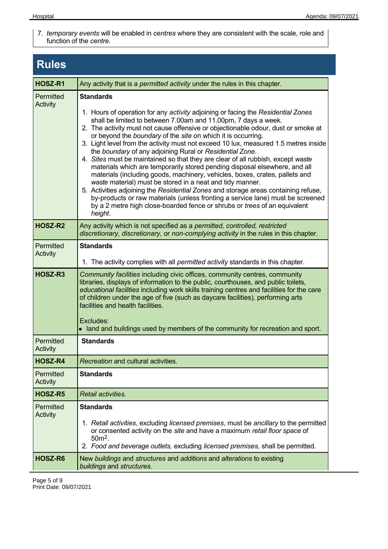7. *temporary events* will be enabled in *centres* where they are consistent with the scale, role and function of the *centre*.

## **Rules HOSZ-R1** Any activity that is a *permitted activity* under the rules in this chapter. **Permitted Activity Standards** 1. Hours of operation for any *activity* adjoining or facing the *Residential Zones* shall be limited to between 7.00am and 11.00pm, 7 days a week. 2. The activity must not cause offensive or objectionable odour, dust or smoke at or beyond the *boundary* of the *site* on which it is occurring. 3. Light level from the activity must not exceed 10 lux, measured 1.5 metres inside the *boundary* of any adjoining Rural or *Residential Zone*. 4. *Sites* must be maintained so that they are clear of all rubbish, except *waste* materials which are temporarily stored pending disposal elsewhere, and all materials (including goods, machinery, vehicles, boxes, crates, pallets and *waste* material) must be stored in a neat and tidy manner. 5. Activities adjoining the *Residential Zones* and storage areas containing refuse, by-products or raw materials (unless fronting a service lane) must be screened by a 2 metre high close-boarded fence or shrubs or *trees* of an equivalent *height*. **HOSZ-R2** Any activity which is not specified as a *permitted, controlled, restricted discretionary, discretionary,* or *non-complying activity* in the rules in this chapter. **Permitted Activity Standards** 1. The activity complies with all *permitted activity* standards in this chapter. **HOSZ-R3** *Community facilities* including civic offices, community centres, community libraries, displays of information to the public, courthouses, and public toilets*, educational facilities* including work skills training centres and facilities for the care of children under the age of five (such as daycare facilities)*,* performing arts facilities and health facilities. Excludes: land and buildings used by members of the community for recreation and sport. **Permitted** Activity **Standards HOSZ-R4** *Recreation* and cultural activities. Permitted **Standards**

| ו פווווונפט<br>Activity      | vianuarus                                                                                                                                                                                                                                                                             |
|------------------------------|---------------------------------------------------------------------------------------------------------------------------------------------------------------------------------------------------------------------------------------------------------------------------------------|
| HOSZ-R4                      | <i>Recreation</i> and cultural activities.                                                                                                                                                                                                                                            |
| Permitted<br>Activity        | <b>Standards</b>                                                                                                                                                                                                                                                                      |
| HOSZ-R5                      | Retail activities.                                                                                                                                                                                                                                                                    |
| Permitted<br><b>Activity</b> | <b>Standards</b><br>1. Retail activities, excluding licensed premises, must be ancillary to the permitted<br>or consented activity on the site and have a maximum retail floor space of<br>$50m2$ .<br>2. Food and beverage outlets, excluding licensed premises, shall be permitted. |
| HOSZ-R6                      | New buildings and structures and additions and alterations to existing<br>buildings and structures.                                                                                                                                                                                   |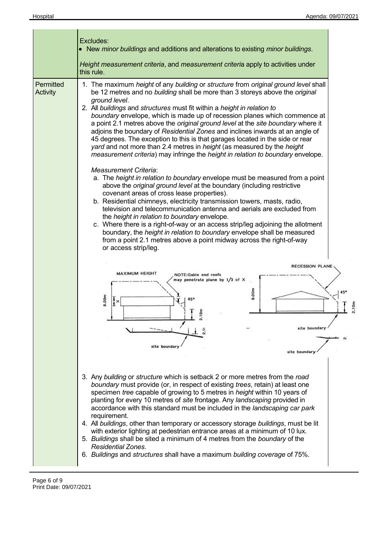|                       | Excludes:<br>• New minor buildings and additions and alterations to existing minor buildings.<br>Height measurement criteria, and measurement criteria apply to activities under<br>this rule.                                                                                                                                                                                                                                                                                                                                                                                                                                                                                                                                                                                                                                                                                                                                                                                                          |       |  |
|-----------------------|---------------------------------------------------------------------------------------------------------------------------------------------------------------------------------------------------------------------------------------------------------------------------------------------------------------------------------------------------------------------------------------------------------------------------------------------------------------------------------------------------------------------------------------------------------------------------------------------------------------------------------------------------------------------------------------------------------------------------------------------------------------------------------------------------------------------------------------------------------------------------------------------------------------------------------------------------------------------------------------------------------|-------|--|
| Permitted<br>Activity | 1. The maximum height of any building or structure from original ground level shall<br>be 12 metres and no building shall be more than 3 storeys above the original<br>ground level.<br>2. All buildings and structures must fit within a height in relation to<br>boundary envelope, which is made up of recession planes which commence at<br>a point 2.1 metres above the original ground level at the site boundary where it<br>adjoins the boundary of Residential Zones and inclines inwards at an angle of<br>45 degrees. The exception to this is that garages located in the side or rear<br>yard and not more than 2.4 metres in height (as measured by the height<br>measurement criteria) may infringe the height in relation to boundary envelope.<br><b>Measurement Criteria:</b><br>a. The height in relation to boundary envelope must be measured from a point<br>above the original ground level at the boundary (including restrictive<br>covenant areas of cross lease properties). |       |  |
|                       | b. Residential chimneys, electricity transmission towers, masts, radio,<br>television and telecommunication antenna and aerials are excluded from<br>the <i>height in relation to boundary</i> envelope.<br>c. Where there is a right-of-way or an access strip/leg adjoining the allotment<br>boundary, the height in relation to boundary envelope shall be measured<br>from a point 2.1 metres above a point midway across the right-of-way<br>or access strip/leg.<br>RECESSION PLANE<br><b>MAXIMUM HEIGHT</b><br>NOTE:Gable end roofs<br>may penetrate plane by $1/3$ of X<br>8.00m<br>8.00m<br>45 <sup>o</sup><br>$\cdot$<br>site boundar                                                                                                                                                                                                                                                                                                                                                         | 2.10m |  |
|                       | site boundary<br>site boundar<br>3. Any building or structure which is setback 2 or more metres from the road<br>boundary must provide (or, in respect of existing trees, retain) at least one<br>specimen tree capable of growing to 5 metres in height within 10 years of<br>planting for every 10 metres of site frontage. Any landscaping provided in<br>accordance with this standard must be included in the landscaping car park<br>requirement.<br>4. All buildings, other than temporary or accessory storage buildings, must be lit<br>with exterior lighting at pedestrian entrance areas at a minimum of 10 lux.<br>5. Buildings shall be sited a minimum of 4 metres from the boundary of the<br><b>Residential Zones.</b><br>6. Buildings and structures shall have a maximum building coverage of 75%.                                                                                                                                                                                   |       |  |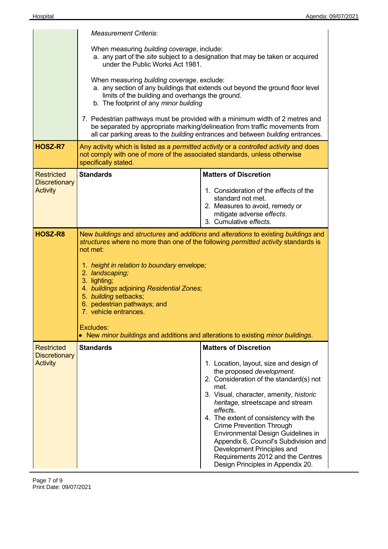|                                         | <b>Measurement Criteria:</b>                                                                                                                                                                                                                                                                                                                                                                                                                                                                            |                                                                                                                                                                                                                                                                                                                                                                                                                                                                                       |  |  |  |  |
|-----------------------------------------|---------------------------------------------------------------------------------------------------------------------------------------------------------------------------------------------------------------------------------------------------------------------------------------------------------------------------------------------------------------------------------------------------------------------------------------------------------------------------------------------------------|---------------------------------------------------------------------------------------------------------------------------------------------------------------------------------------------------------------------------------------------------------------------------------------------------------------------------------------------------------------------------------------------------------------------------------------------------------------------------------------|--|--|--|--|
|                                         | When measuring building coverage, include:<br>a. any part of the site subject to a designation that may be taken or acquired<br>under the Public Works Act 1981.                                                                                                                                                                                                                                                                                                                                        |                                                                                                                                                                                                                                                                                                                                                                                                                                                                                       |  |  |  |  |
|                                         | When measuring building coverage, exclude:<br>a. any section of any buildings that extends out beyond the ground floor level<br>limits of the building and overhangs the ground.<br>b. The footprint of any minor building                                                                                                                                                                                                                                                                              |                                                                                                                                                                                                                                                                                                                                                                                                                                                                                       |  |  |  |  |
|                                         | 7. Pedestrian pathways must be provided with a minimum width of 2 metres and<br>be separated by appropriate marking/delineation from traffic movements from<br>all car parking areas to the building entrances and between building entrances.                                                                                                                                                                                                                                                          |                                                                                                                                                                                                                                                                                                                                                                                                                                                                                       |  |  |  |  |
| HOSZ-R7                                 | Any activity which is listed as a permitted activity or a controlled activity and does<br>not comply with one of more of the associated standards, unless otherwise<br>specifically stated.                                                                                                                                                                                                                                                                                                             |                                                                                                                                                                                                                                                                                                                                                                                                                                                                                       |  |  |  |  |
| <b>Restricted</b>                       | <b>Standards</b>                                                                                                                                                                                                                                                                                                                                                                                                                                                                                        | <b>Matters of Discretion</b>                                                                                                                                                                                                                                                                                                                                                                                                                                                          |  |  |  |  |
| <b>Discretionary</b><br><b>Activity</b> |                                                                                                                                                                                                                                                                                                                                                                                                                                                                                                         | 1. Consideration of the effects of the<br>standard not met.<br>2. Measures to avoid, remedy or<br>mitigate adverse effects.<br>3. Cumulative effects.                                                                                                                                                                                                                                                                                                                                 |  |  |  |  |
| HOSZ-R8                                 | New buildings and structures and additions and alterations to existing buildings and<br>structures where no more than one of the following permitted activity standards is<br>not met:<br>1. height in relation to boundary envelope;<br>2. landscaping;<br>3. lighting;<br>4. buildings adjoining Residential Zones;<br>5. building setbacks;<br>6. pedestrian pathways; and<br>7. vehicle entrances.<br>Excludes:<br>• New minor buildings and additions and alterations to existing minor buildings. |                                                                                                                                                                                                                                                                                                                                                                                                                                                                                       |  |  |  |  |
| <b>Restricted</b>                       | <b>Standards</b>                                                                                                                                                                                                                                                                                                                                                                                                                                                                                        | <b>Matters of Discretion</b>                                                                                                                                                                                                                                                                                                                                                                                                                                                          |  |  |  |  |
| <b>Discretionary</b><br><b>Activity</b> |                                                                                                                                                                                                                                                                                                                                                                                                                                                                                                         | 1. Location, layout, size and design of<br>the proposed development.<br>2. Consideration of the standard(s) not<br>met.<br>3. Visual, character, amenity, historic<br>heritage, streetscape and stream<br>effects.<br>4. The extent of consistency with the<br><b>Crime Prevention Through</b><br>Environmental Design Guidelines in<br>Appendix 6, Council's Subdivision and<br>Development Principles and<br>Requirements 2012 and the Centres<br>Design Principles in Appendix 20. |  |  |  |  |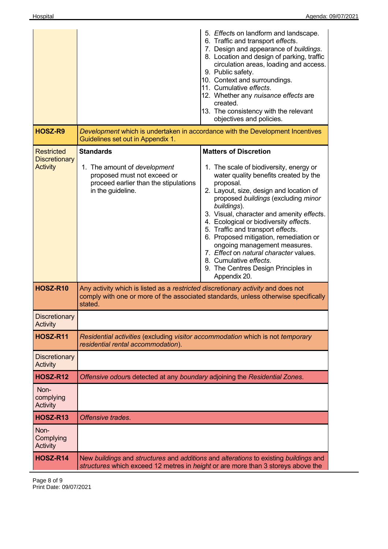|                                                              |                                                                                                                                               | 5. Effects on landform and landscape.<br>6. Traffic and transport effects.<br>7. Design and appearance of buildings.<br>8. Location and design of parking, traffic<br>circulation areas, loading and access.<br>9. Public safety.<br>10. Context and surroundings.<br>11. Cumulative effects.<br>12. Whether any nuisance effects are<br>created.<br>13. The consistency with the relevant<br>objectives and policies.                                                                                                                                          |  |  |  |
|--------------------------------------------------------------|-----------------------------------------------------------------------------------------------------------------------------------------------|-----------------------------------------------------------------------------------------------------------------------------------------------------------------------------------------------------------------------------------------------------------------------------------------------------------------------------------------------------------------------------------------------------------------------------------------------------------------------------------------------------------------------------------------------------------------|--|--|--|
| HOSZ-R9                                                      | Development which is undertaken in accordance with the Development Incentives<br>Guidelines set out in Appendix 1.                            |                                                                                                                                                                                                                                                                                                                                                                                                                                                                                                                                                                 |  |  |  |
| <b>Restricted</b><br><b>Discretionary</b><br><b>Activity</b> | <b>Standards</b><br>1. The amount of development<br>proposed must not exceed or<br>proceed earlier than the stipulations<br>in the guideline. | <b>Matters of Discretion</b><br>1. The scale of biodiversity, energy or<br>water quality benefits created by the<br>proposal.<br>2. Layout, size, design and location of<br>proposed buildings (excluding minor<br>buildings).<br>3. Visual, character and amenity effects.<br>4. Ecological or biodiversity effects.<br>5. Traffic and transport effects.<br>6. Proposed mitigation, remediation or<br>ongoing management measures.<br>7. Effect on natural character values.<br>8. Cumulative effects.<br>9. The Centres Design Principles in<br>Appendix 20. |  |  |  |
| <b>HOSZ-R10</b>                                              | Any activity which is listed as a restricted discretionary activity and does not<br>stated.                                                   | comply with one or more of the associated standards, unless otherwise specifically                                                                                                                                                                                                                                                                                                                                                                                                                                                                              |  |  |  |
| <b>Discretionary</b><br><b>Activity</b>                      |                                                                                                                                               |                                                                                                                                                                                                                                                                                                                                                                                                                                                                                                                                                                 |  |  |  |
| <b>HOSZ-R11</b>                                              | Residential activities (excluding visitor accommodation which is not temporary<br>residential rental accommodation).                          |                                                                                                                                                                                                                                                                                                                                                                                                                                                                                                                                                                 |  |  |  |
| <b>Discretionary</b><br><b>Activity</b>                      |                                                                                                                                               |                                                                                                                                                                                                                                                                                                                                                                                                                                                                                                                                                                 |  |  |  |
| <b>HOSZ-R12</b>                                              | Offensive odours detected at any boundary adjoining the Residential Zones.                                                                    |                                                                                                                                                                                                                                                                                                                                                                                                                                                                                                                                                                 |  |  |  |
| Non-<br>complying<br>Activity                                |                                                                                                                                               |                                                                                                                                                                                                                                                                                                                                                                                                                                                                                                                                                                 |  |  |  |
| <b>HOSZ-R13</b>                                              | Offensive trades.                                                                                                                             |                                                                                                                                                                                                                                                                                                                                                                                                                                                                                                                                                                 |  |  |  |
| Non-<br>Complying<br>Activity                                |                                                                                                                                               |                                                                                                                                                                                                                                                                                                                                                                                                                                                                                                                                                                 |  |  |  |
| HOSZ-R14                                                     |                                                                                                                                               | New buildings and structures and additions and alterations to existing buildings and<br>structures which exceed 12 metres in <i>height</i> or are more than 3 storeys above the                                                                                                                                                                                                                                                                                                                                                                                 |  |  |  |

Page 8 of 9 Print Date: 09/07/2021